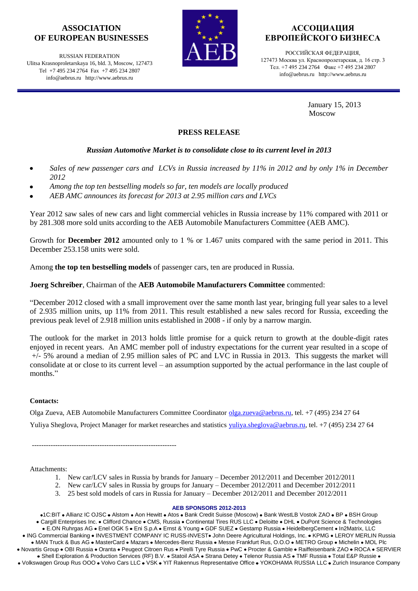## **ASSOCIATION OF EUROPEAN BUSINESSES**

RUSSIAN FEDERATION Ulitsa Krasnoproletarskaya 16, bld. 3, Moscow, 127473 Tel +7 495 234 2764 Fax +7 495 234 2807 info@aebrus.ru http://www.aebrus.ru



# **АССОЦИАЦИЯ ЕВРОПЕЙСКОГО БИЗНЕСА**

РОССИЙСКАЯ ФЕДЕРАЦИЯ, 127473 Москва ул. Краснопролетарская, д. 16 стр. 3 Тел. +7 495 234 2764 Факс +7 495 234 2807 info@aebrus.ru http://www.aebrus.ru

> January 15, 2013 Moscow

### **PRESS RELEASE**

## *Russian Automotive Market is to consolidate close to its current level in 2013*

- *Sales of new passenger cars and LCVs in Russia increased by 11% in 2012 and by only 1% in December 2012*
- *Among the top ten bestselling models so far, ten models are locally produced*
- *AEB AMC announces its forecast for 2013 at 2.95 million cars and LVCs*

Year 2012 saw sales of new cars and light commercial vehicles in Russia increase by 11% compared with 2011 or by 281.308 more sold units according to the AEB Automobile Manufacturers Committee (AEB AMC).

Growth for **December 2012** amounted only to 1 % or 1.467 units compared with the same period in 2011. This December 253.158 units were sold.

Among **the top ten bestselling models** of passenger cars, ten are produced in Russia.

## **Joerg Schreiber**, Chairman of the **AEB Automobile Manufacturers Committee** commented:

"December 2012 closed with a small improvement over the same month last year, bringing full year sales to a level of 2.935 million units, up 11% from 2011. This result established a new sales record for Russia, exceeding the previous peak level of 2.918 million units established in 2008 - if only by a narrow margin.

The outlook for the market in 2013 holds little promise for a quick return to growth at the double-digit rates enjoyed in recent years. An AMC member poll of industry expectations for the current year resulted in a scope of +/- 5% around a median of 2.95 million sales of PC and LVC in Russia in 2013. This suggests the market will consolidate at or close to its current level – an assumption supported by the actual performance in the last couple of months."

## **Contacts:**

Olga Zueva, AEB Automobile Manufacturers Committee Coordinator [olga.zueva@aebrus.ru,](mailto:olga.zueva@aebrus.ru) tel. +7 (495) 234 27 64 Yuliya Sheglova, Project Manager for market researches and statistics [yuliya.sheglova@aebrus.ru,](mailto:yuliya.sheglova@aebrus.ru) tel. +7 (495) 234 27 64

--------------------------------------------------------------

Attachments:

- 1. New car/LCV sales in Russia by brands for January December 2012/2011 and December 2012/2011
- 2. New car/LCV sales in Russia by groups for January December 2012/2011 and December 2012/2011
- 3. 25 best sold models of cars in Russia for January December 2012/2011 and December 2012/2011

#### **AEB SPONSORS 2012-2013**

•1C:BIT • Allianz IC OJSC • Alstom • Aon Hewitt • Atos • Bank Credit Suisse (Moscow) • Bank WestLB Vostok ZAO • BP • BSH Group · Cargill Enterprises Inc. · Clifford Chance · CMS, Russia · Continental Tires RUS LLC · Deloitte · DHL · DuPont Science & Technologies · E.ON Ruhrgas AG · Enel OGK 5 · Eni S.p.A · Ernst & Young · GDF SUEZ · Gestamp Russia · HeidelbergCement · In2Matrix, LLC

· ING Commercial Banking · INVESTMENT COMPANY IC RUSS-INVEST · John Deere Agricultural Holdings, Inc. · KPMG · LEROY MERLIN Russia • MAN Truck & Bus AG • MasterCard • Mazars • Mercedes-Benz Russia • Messe Frankfurt Rus, O.O.O • METRO Group • Michelin • MOL Plc

• Novartis Group • OBI Russia • Oranta • Peugeot Citroen Rus • Pirelli Tyre Russia • PwC • Procter & Gamble • Raiffeisenbank ZAO • ROCA • SERVIER • Shell Exploration & Production Services (RF) B.V. • Statoil ASA • Strana Detey • Telenor Russia AS • TMF Russia • Total E&P Russie •

• Volkswagen Group Rus OOO • Volvo Cars LLC • VSK • YIT Rakennus Representative Office • YOKOHAMA RUSSIA LLC • Zurich Insurance Company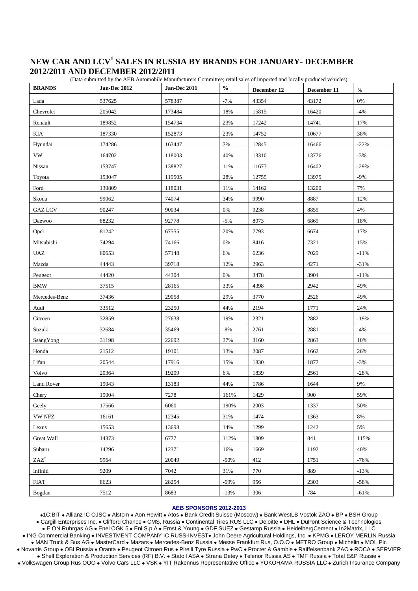# **NEW CAR AND LCV<sup>1</sup> SALES IN RUSSIA BY BRANDS FOR JANUARY- DECEMBER 2012/2011 AND DECEMBER 2012/2011**

**BRANDS Jan-Dec 2012 Jan-Dec 2011 % December 12 December 11 %** Lada 537625 578387 -7% 43354 43172 0% Chevrolet 205042 173484 18% 15815 16420 4% Renault 189852 154734 23% 17242 14741 17% KIA 187330 152873 23% 14752 10677 38% Hyundai 174286 163447 7% 12845 16466 -22% VW 164702 118003 40% 13310 13776 -3% Nissan 153747 138827 11% 15402 -29% Toyota 153047 119505 28% 12755 13975 -9% Ford 130809 118031 11% 14162 13200 7% Skoda 99062 74074 34% 9990 8887 12% GAZ LCV 90247 90034 0% 9238 8859 4% Daewoo 88232 92778 -5% 8073 6869 18% Opel 81242 67555 20% 7793 6674 17% Mitsubishi | 74294 | 74166 | 0% | 8416 | 7321 | 15% UAZ  $\begin{array}{|c|c|c|c|c|c|c|c|c|} \hline \text{0.6653} & \text{57148} & \text{6\%} & \text{6236} & \text{7029} & \text{-11\%} \ \hline \end{array}$ Mazda 44443 39718 12% 2963 4271 -31% Peugeot 20 | 44420 | 44304 | 9% | 3478 | 3904 | -11% BMW | 37515 | 28165 | 33% | 4398 | 2942 | 49% Mercedes-Benz | 37436 | 29058 | 29% | 3770 | 2526 | 49% Audi 33512 23250 44% 2194 1771 24% Citroen 19% 27638 19% 2321 2882 -19% 27638 2321 2882 2882 -19% Suzuki 32684 35469 -8% 2761 2881 -4% SsangYong 131198 22692 37% 3160 2863 10% Honda 21512 19101 13% 2087 1662 26% Lifan 1877 | 20544 | 17916 | 15% | 1830 | 1877 | 3% Volvo 20364 19209 6% 1839 2561 -28% Land Rover 19043 13183 44% 1786 1644 9% Chery 19004 7278 161% 1429 900 59% Geely 17566 6060 190% 2003 1337 50% VW NFZ 16161 12345 31% 1474 1363 8% Lexus 15653 13698 14% 1299 1242 5% Great Wall 14373 (6777 112% 1809 841 115%) Subaru 14296 12371 16% 1669 1192 192 ZAZ<sup>7</sup> 9964 20049 -50% 412 1751 -76% Infiniti 9209 7042 31% 770 889 -13% FIAT 8623 8823 28254 -69% 956 2303 -58% Bogdan 17512 8683 -13% 306 784 -61%

#### (Data submitted by the AEB Automobile Manufacturers Committee; retail sales of imported and locally produced vehicles)

#### **AEB SPONSORS 2012-2013**

•1C:BIT • Allianz IC OJSC • Alstom • Aon Hewitt • Atos • Bank Credit Suisse (Moscow) • Bank WestLB Vostok ZAO • BP • BSH Group · Cargill Enterprises Inc. · Clifford Chance · CMS, Russia · Continental Tires RUS LLC · Deloitte · DHL · DuPont Science & Technologies . E.ON Ruhrgas AG . Enel OGK 5 . Eni S.p.A . Ernst & Young . GDF SUEZ . Gestamp Russia . HeidelbergCement . In2Matrix, LLC • ING Commercial Banking • INVESTMENT COMPANY IC RUSS-INVEST • John Deere Agricultural Holdings, Inc. • KPMG • LEROY MERLIN Russia • MAN Truck & Bus AG • MasterCard • Mazars • Mercedes-Benz Russia • Messe Frankfurt Rus, O.O.O • METRO Group • Michelin • MOL Plc . Novartis Group . OBI Russia . Oranta . Peugeot Citroen Rus . Pirelli Tyre Russia . PwC . Procter & Gamble . Raiffeisenbank ZAO . ROCA . SERVIER • Shell Exploration & Production Services (RF) B.V. • Statoil ASA • Strana Detey • Telenor Russia AS • TMF Russia • Total E&P Russie • • Volkswagen Group Rus OOO • Volvo Cars LLC • VSK • YIT Rakennus Representative Office • YOKOHAMA RUSSIA LLC • Zurich Insurance Company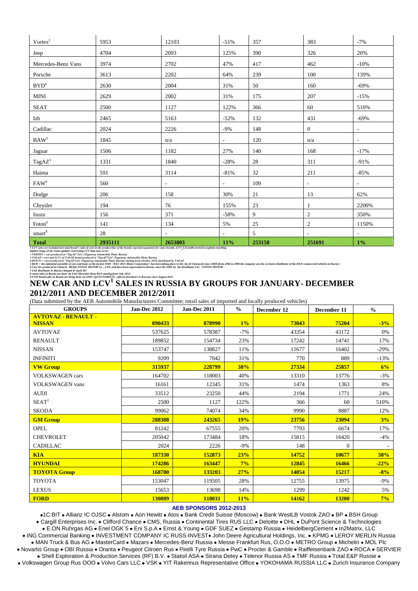| Vortex <sup>2</sup>                                                                                                                                                                          | 5953    | 12103                    | $-51%$                   | 357    | 383            | $-7%$                    |
|----------------------------------------------------------------------------------------------------------------------------------------------------------------------------------------------|---------|--------------------------|--------------------------|--------|----------------|--------------------------|
| Jeep                                                                                                                                                                                         | 4704    | 2093                     | 125%                     | 390    | 326            | 20%                      |
| Mercedes-Benz Vans                                                                                                                                                                           | 3974    | 2702                     | 47%                      | 417    | 462            | $-10%$                   |
| Porsche                                                                                                                                                                                      | 3613    | 2202                     | 64%                      | 239    | 100            | 139%                     |
| BYD <sup>4</sup>                                                                                                                                                                             | 2630    | 2004                     | 31%                      | 50     | 160            | $-69%$                   |
| <b>MINI</b>                                                                                                                                                                                  | 2629    | 2002                     | 31%                      | 175    | 207            | $-15%$                   |
| <b>SEAT</b>                                                                                                                                                                                  | 2500    | 1127                     | 122%                     | 366    | 60             | 510%                     |
| Izh                                                                                                                                                                                          | 2465    | 5163                     | $-52%$                   | 132    | 431            | $-69%$                   |
| Cadillac                                                                                                                                                                                     | 2024    | 2226                     | $-9%$                    | 148    | $\mathbf{0}$   | $\overline{\phantom{a}}$ |
| $BAW^5$                                                                                                                                                                                      | 1845    | n/a                      | $\blacksquare$           | 120    | n/a            | $\overline{\phantom{a}}$ |
| Jaguar                                                                                                                                                                                       | 1506    | 1182                     | 27%                      | 140    | 168            | $-17%$                   |
| TagAZ <sup>3</sup>                                                                                                                                                                           | 1331    | 1840                     | $-28%$                   | 28     | 311            | $-91%$                   |
| $\rm Haima$                                                                                                                                                                                  | 591     | 3114                     | $-81\%$                  | 32     | 211            | $-85%$                   |
| FAW <sup>9</sup>                                                                                                                                                                             | 560     | $\overline{\phantom{a}}$ | $\overline{\phantom{a}}$ | 109    | ۰              | $\overline{\phantom{a}}$ |
| Dodge                                                                                                                                                                                        | 206     | 158                      | 30%                      | 21     | 13             | 62%                      |
| Chrysler                                                                                                                                                                                     | 194     | 76                       | 155%                     | 23     | 1              | 2200%                    |
| Isuzu                                                                                                                                                                                        | 156     | 371                      | $-58%$                   | 9      | $\overline{c}$ | 350%                     |
| $\text{Foton}^6$                                                                                                                                                                             | 141     | 134                      | 5%                       | 25     | 2              | 1150%                    |
| $\mathrm{smart}^8$                                                                                                                                                                           | 28      |                          | $\sim$                   | 5      | $\overline{a}$ | $\sim$                   |
| <b>Total</b><br>I LCV sales are included into total brand's sales if exist in the product line of the brand; reported separately for some brands. LCV<3,5t (with several exceptions reaching | 2935111 | 2653803                  | 11%                      | 253158 | 251691         | 1%                       |

1 LCV sales are included into total brand S sales if exist in the product line of the brand; reported separately for some brands. LCV<sub>2</sub>3,51 (with several exceptions reaching<br>Righest range of 60, Some updates concerning LC

# NEW CAR AND LCV<sup>1</sup> SALES IN RUSSIA BY GROUPS FOR JANUARY- DECEMBER 2012/2011 AND DECEMBER 2012/2011

(Data submitted by the AEB Automobile Manufacturers Committee; retail sales of imported and locally produced vehicles)

| <b>GROUPS</b>                               | Jan-Dec 2012 | Jan-Dec 2011 | $\frac{0}{0}$ | December 12  | December 11 | $\frac{0}{0}$ |
|---------------------------------------------|--------------|--------------|---------------|--------------|-------------|---------------|
| <b>AVTOVAZ - RENAULT -</b><br><b>NISSAN</b> | 890433       | 878990       | 1%            | 73043        | 75204       | $-3%$         |
| <b>AVTOVAZ</b>                              | 537625       | 578387       | $-7%$         | 43354        | 43172       | 0%            |
| <b>RENAULT</b>                              | 189852       | 154734       | 23%           | 17242        | 14741       | 17%           |
| <b>NISSAN</b>                               | 153747       | 138827       | 11%           | 11677        | 16402       | $-29%$        |
| <b>INFINITI</b>                             | 9209         | 7042         | 31%           | 770          | 889         | $-13%$        |
| <b>VW Group</b>                             | 315937       | 228799       | 38%           | 27334        | 25857       | 6%            |
| <b>VOLKSWAGEN</b> cars                      | 164702       | 118003       | 40%           | 13310        | 13776       | $-3%$         |
| <b>VOLKSWAGEN</b> vans                      | 16161        | 12345        | 31%           | 1474         | 1363        | 8%            |
| <b>AUDI</b>                                 | 33512        | 23250        | 44%           | 2194         | 1771        | 24%           |
| SEAT <sup>2</sup>                           | 2500         | 1127         | 122%          | 366          | 60          | 510%          |
| <b>SKODA</b>                                | 99062        | 74074        | 34%           | 9990         | 8887        | 12%           |
| <b>GM Group</b>                             | 288308       | 243265       | 19%           | 23756        | 23094       | 3%            |
| <b>OPEL</b>                                 | 81242        | 67555        | 20%           | 7793         | 6674        | 17%           |
| <b>CHEVROLET</b>                            | 205042       | 173484       | 18%           | 15815        | 16420       | $-4%$         |
| <b>CADILLAC</b>                             | 2024         | 2226         | $-9%$         | 148          | $\Omega$    |               |
| <b>KIA</b>                                  | 187330       | 152873       | 23%           | 14752        | 10677       | 38%           |
| <b>HYUNDAI</b>                              | 174286       | 163447       | 7%            | 12845        | 16466       | $-22%$        |
| <b>TOYOTA Group</b>                         | 168700       | 133203       | 27%           | 14054        | 15217       | $-8%$         |
| <b>TOYOTA</b>                               | 153047       | 119505       | 28%           | 12755        | 13975       | $-9%$         |
| <b>LEXUS</b>                                | 15653        | 13698        | 14%           | 1299         | 1242        | 5%            |
| <b>FORD</b>                                 | 130809       | 118031       | 11%           | <b>14162</b> | 13200       | 7%            |

#### **AEB SPONSORS 2012-2013**

•1C:BIT • Allianz IC OJSC • Alstom • Aon Hewitt • Atos • Bank Credit Suisse (Moscow) • Bank WestLB Vostok ZAO • BP • BSH Group · Cargill Enterprises Inc. • Clifford Chance • CMS, Russia • Continental Tires RUS LLC • Deloitte • DHL • DuPont Science & Technologies

· E.ON Ruhrgas AG · Enel OGK 5 · Eni S.p.A · Ernst & Young · GDF SUEZ · Gestamp Russia · HeidelbergCement · In2Matrix, LLC

. ING Commercial Banking . INVESTMENT COMPANY IC RUSS-INVEST. John Deere Agricultural Holdings, Inc. . KPMG . LEROY MERLIN Russia • MAN Truck & Bus AG • MasterCard • Mazars • Mercedes-Benz Russia • Messe Frankfurt Rus, O.O.O • METRO Group • Michelin • MOL Plc . Novartis Group . OBI Russia . Oranta . Peugeot Citroen Rus . Pirelli Tyre Russia . PwC . Procter & Gamble . Raiffeisenbank ZAO . ROCA . SERVIER . Shell Exploration & Production Services (RF) B.V. • Statoil ASA • Strana Detey • Telenor Russia AS • TMF Russia • Total E&P Russie • • Volkswagen Group Rus OOO • Volvo Cars LLC • VSK • YIT Rakennus Representative Office • YOKOHAMA RUSSIA LLC • Zurich Insurance Company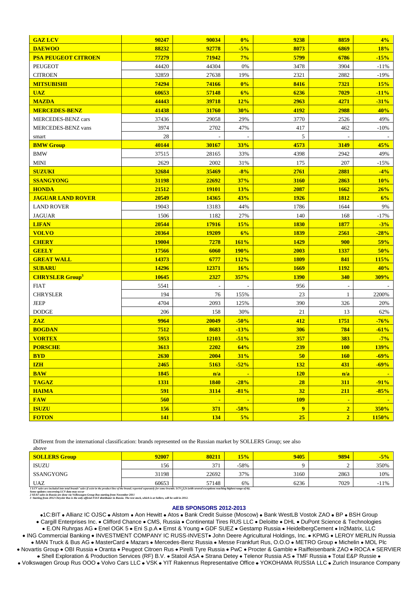| <b>GAZ LCV</b>                    | 90247      | 90034          | 0%             | 9238           | 8859           | 4%     |
|-----------------------------------|------------|----------------|----------------|----------------|----------------|--------|
| <b>DAEWOO</b>                     | 88232      | 92778          | $-5%$          | 8073           | 6869           | 18%    |
| <b>PSA PEUGEOT CITROEN</b>        | 77279      | 71942          | 7%             | 5799           | 6786           | $-15%$ |
| PEUGEOT                           | 44420      | 44304          | 0%             | 3478           | 3904           | $-11%$ |
| <b>CITROEN</b>                    | 32859      | 27638          | 19%            | 2321           | 2882           | $-19%$ |
| <b>MITSUBISHI</b>                 | 74294      | 74166          | 0%             | 8416           | 7321           | 15%    |
| <b>UAZ</b>                        | 60653      | 57148          | 6%             | 6236           | 7029           | $-11%$ |
| <b>MAZDA</b>                      | 44443      | 39718          | 12%            | 2963           | 4271           | $-31%$ |
| <b>MERCEDES-BENZ</b>              | 41438      | 31760          | 30%            | 4192           | 2988           | 40%    |
| MERCEDES-BENZ cars                | 37436      | 29058          | 29%            | 3770           | 2526           | 49%    |
| <b>MERCEDES-BENZ</b> vans         | 3974       | 2702           | 47%            | 417            | 462            | $-10%$ |
| smart                             | 28         |                |                | 5              |                |        |
| <b>BMW Group</b>                  | 40144      | 30167          | 33%            | 4573           | 3149           | 45%    |
| <b>BMW</b>                        | 37515      | 28165          | 33%            | 4398           | 2942           | 49%    |
| <b>MINI</b>                       | 2629       | 2002           | 31%            | 175            | 207            | $-15%$ |
| <b>SUZUKI</b>                     | 32684      | 35469          | $-8%$          | 2761           | 2881           | $-4%$  |
| <b>SSANGYONG</b>                  | 31198      | 22692          | 37%            | 3160           | 2863           | 10%    |
| <b>HONDA</b>                      | 21512      | <b>19101</b>   | <b>13%</b>     | 2087           | 1662           | 26%    |
| <b>JAGUAR LAND ROVER</b>          | 20549      | 14365          | 43%            | 1926           | 1812           | 6%     |
| <b>LAND ROVER</b>                 | 19043      | 13183          | 44%            | 1786           | 1644           | 9%     |
| <b>JAGUAR</b>                     | 1506       | 1182           | 27%            | 140            | 168            | $-17%$ |
| <b>LIFAN</b>                      | 20544      | 17916          | 15%            | <b>1830</b>    | 1877           | $-3%$  |
| <b>VOLVO</b>                      | 20364      | 19209          | 6%             | 1839           | 2561           | $-28%$ |
| <b>CHERY</b>                      | 19004      | 7278           | 161%           | 1429           | 900            | 59%    |
| <b>GEELY</b>                      | 17566      | 6060           | <b>190%</b>    | 2003           | 1337           | 50%    |
| <b>GREAT WALL</b>                 | 14373      | 6777           | 112%           | <b>1809</b>    | 841            | 115%   |
| <b>SUBARU</b>                     | 14296      | 12371          | 16%            | 1669           | <b>1192</b>    | 40%    |
| <b>CHRYSLER Group<sup>3</sup></b> | 10645      | 2327           | 357%           | <b>1390</b>    | 340            | 309%   |
| <b>FIAT</b>                       | 5541       |                |                | 956            |                |        |
| <b>CHRYSLER</b>                   | 194        | 76             | 155%           | 23             | $\mathbf{1}$   | 2200%  |
| <b>JEEP</b>                       | 4704       | 2093           | 125%           | 390            | 326            | 20%    |
| <b>DODGE</b>                      | 206        | 158            | 30%            | 21             | 13             | 62%    |
| <b>ZAZ</b>                        | 9964       | 20049          | $-50%$         | 412            | 1751           | $-76%$ |
| <b>BOGDAN</b>                     | 7512       | 8683           | $-13%$         | 306            | 784            | $-61%$ |
| <b>VORTEX</b>                     | 5953       | 12103          | $-51%$         | 357            | 383            | $-7%$  |
| <b>PORSCHE</b>                    | 3613       | 2202           | 64%            | 239            | <b>100</b>     | 139%   |
| <b>BYD</b>                        | 2630       | 2004           | 31%            | 50             | <b>160</b>     | $-69%$ |
| <b>IZH</b>                        | 2465       | 5163           | $-52%$         | 132            | 431            | $-69%$ |
| <b>BAW</b>                        | 1845       | n/a            | $\blacksquare$ | <b>120</b>     | n/a            |        |
| <b>TAGAZ</b>                      | 1331       | <b>1840</b>    | $-28%$         | 28             | <b>311</b>     | $-91%$ |
| <b>HAIMA</b>                      | 591        | 3114           | $-81%$         | 32             | 211            | $-85%$ |
| <b>FAW</b>                        | 560        | $\blacksquare$ | $\blacksquare$ | <b>109</b>     | $\blacksquare$ |        |
| <b>ISUZU</b>                      | 156        | 371            | $-58%$         | $\overline{9}$ | $\overline{2}$ | 350%   |
| <b>FOTON</b>                      | <b>141</b> | 134            | 5%             | 25             | $\overline{2}$ | 1150%  |

Different from the international classification: brands represented on the Russian market by SOLLERS Group; see also above

| SOLLERS Group                                                                                                                                                                                      | 92007 | 80211 | 15%    | 9405 | 9894 | $-5%$  |  |  |
|----------------------------------------------------------------------------------------------------------------------------------------------------------------------------------------------------|-------|-------|--------|------|------|--------|--|--|
| ISUZU                                                                                                                                                                                              | 156   | 371   | $-58%$ |      |      | 350%   |  |  |
| SSANGYONG                                                                                                                                                                                          | 31198 | 22692 | 37%    | 3160 | 2863 | 10%    |  |  |
| <b>UAZ</b>                                                                                                                                                                                         | 60653 | 57148 | 6%     | 6236 | 7029 | $-11%$ |  |  |
| 1 LCV sales are included into total brands' sales if exist in the product line of the brand; reported separately for some brands. LCV<3,5t (with several exceptions reaching highest range of 6t). |       |       |        |      |      |        |  |  |

1 recy suits we rotentian of Vol data may occur.<br>Some updates concerning LCV data may occur.<br>2 SEAT sales in Russia are done via Volkswagen Group Rus starting from November 2011<br>3 Starting from 2012 Chrysler Rus is the onl

#### **AEB SPONSORS 2012-2013**

•1C:BIT • Allianz IC OJSC • Alstom • Aon Hewitt • Atos • Bank Credit Suisse (Moscow) • Bank WestLB Vostok ZAO • BP • BSH Group • Cargill Enterprises Inc. • Clifford Chance • CMS, Russia • Continental Tires RUS LLC • Deloitte • DHL • DuPont Science & Technologies . E.ON Ruhrgas AG . Enel OGK 5 . Eni S.p.A . Ernst & Young . GDF SUEZ . Gestamp Russia . HeidelbergCement . In2Matrix, LLC

. ING Commercial Banking . INVESTMENT COMPANY IC RUSS-INVEST. John Deere Agricultural Holdings, Inc. . KPMG . LEROY MERLIN Russia • MAN Truck & Bus AG • MasterCard • Mazars • Mercedes-Benz Russia • Messe Frankfurt Rus, O.O.O • METRO Group • Michelin • MOL Plc

. Novartis Group . OBI Russia . Oranta . Peugeot Citroen Rus . Pirelli Tyre Russia . PwC . Procter & Gamble . Raiffeisenbank ZAO . ROCA . SERVIER . Shell Exploration & Production Services (RF) B.V. • Statoil ASA . Strana Detey . Telenor Russia AS . TMF Russia . Total E&P Russie .

• Volkswagen Group Rus OOO • Volvo Cars LLC • VSK • YIT Rakennus Representative Office • YOKOHAMA RUSSIA LLC • Zurich Insurance Company